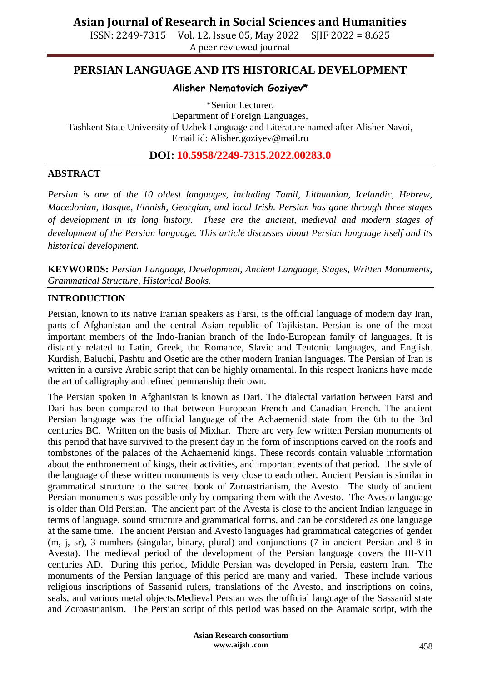ISSN: 2249-7315 Vol. 12, Issue 05, May 2022 SJIF 2022 = 8.625 A peer reviewed journal

### **PERSIAN LANGUAGE AND ITS HISTORICAL DEVELOPMENT**

### **Alisher Nematovich Goziyev\***

\*Senior Lecturer, Department of Foreign Languages, Tashkent State University of Uzbek Language and Literature named after Alisher Navoi, Email id: [Alisher.goziyev@mail.ru](mailto:Alisher.goziyev@mail.ru)

**DOI: 10.5958/2249-7315.2022.00283.0**

#### **ABSTRACT**

*Persian is one of the 10 oldest languages, including Tamil, Lithuanian, Icelandic, Hebrew, Macedonian, Basque, Finnish, Georgian, and local Irish. Persian has gone through three stages of development in its long history. These are the ancient, medieval and modern stages of development of the Persian language. This article discusses about Persian language itself and its historical development.*

**KEYWORDS:** *Persian Language, Development, Ancient Language, Stages, Written Monuments, Grammatical Structure, Historical Books.*

#### **INTRODUCTION**

Persian, known to its native Iranian speakers as Farsi, is the official language of modern day Iran, parts of Afghanistan and the central Asian republic of Tajikistan. Persian is one of the most important members of the Indo-Iranian branch of the Indo-European family of languages. It is distantly related to Latin, Greek, the Romance, Slavic and Teutonic languages, and English. Kurdish, Baluchi, Pashtu and Osetic are the other modern Iranian languages. The Persian of Iran is written in a cursive Arabic script that can be highly ornamental. In this respect Iranians have made the art of calligraphy and refined penmanship their own.

The Persian spoken in Afghanistan is known as Dari. The dialectal variation between Farsi and Dari has been compared to that between European French and Canadian French. The ancient Persian language was the official language of the Achaemenid state from the 6th to the 3rd centuries BC. Written on the basis of Mixhar. There are very few written Persian monuments of this period that have survived to the present day in the form of inscriptions carved on the roofs and tombstones of the palaces of the Achaemenid kings. These records contain valuable information about the enthronement of kings, their activities, and important events of that period. The style of the language of these written monuments is very close to each other. Ancient Persian is similar in grammatical structure to the sacred book of Zoroastrianism, the Avesto. The study of ancient Persian monuments was possible only by comparing them with the Avesto. The Avesto language is older than Old Persian. The ancient part of the Avesta is close to the ancient Indian language in terms of language, sound structure and grammatical forms, and can be considered as one language at the same time. The ancient Persian and Avesto languages had grammatical categories of gender (m, j, sr), 3 numbers (singular, binary, plural) and conjunctions (7 in ancient Persian and 8 in Avesta). The medieval period of the development of the Persian language covers the III-VI1 centuries AD. During this period, Middle Persian was developed in Persia, eastern Iran. The monuments of the Persian language of this period are many and varied. These include various religious inscriptions of Sassanid rulers, translations of the Avesto, and inscriptions on coins, seals, and various metal objects.Medieval Persian was the official language of the Sassanid state and Zoroastrianism. The Persian script of this period was based on the Aramaic script, with the

> **Asian Research consortium www.aijsh .com**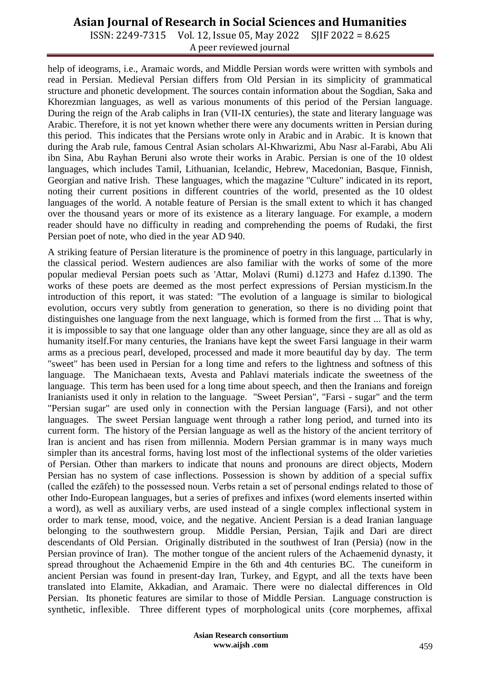## **Asian Journal of Research in Social Sciences and Humanities**

ISSN: 2249-7315 Vol. 12, Issue 05, May 2022 SJIF 2022 = 8.625 A peer reviewed journal

help of ideograms, i.e., Aramaic words, and Middle Persian words were written with symbols and read in Persian. Medieval Persian differs from Old Persian in its simplicity of grammatical structure and phonetic development. The sources contain information about the Sogdian, Saka and Khorezmian languages, as well as various monuments of this period of the Persian language. During the reign of the Arab caliphs in Iran (VII-IX centuries), the state and literary language was Arabic. Therefore, it is not yet known whether there were any documents written in Persian during this period. This indicates that the Persians wrote only in Arabic and in Arabic. It is known that during the Arab rule, famous Central Asian scholars Al-Khwarizmi, Abu Nasr al-Farabi, Abu Ali ibn Sina, Abu Rayhan Beruni also wrote their works in Arabic. Persian is one of the 10 oldest languages, which includes Tamil, Lithuanian, Icelandic, Hebrew, Macedonian, Basque, Finnish, Georgian and native Irish. These languages, which the magazine "Culture" indicated in its report, noting their current positions in different countries of the world, presented as the 10 oldest languages of the world. A notable feature of Persian is the small extent to which it has changed over the thousand years or more of its existence as a literary language. For example, a modern reader should have no difficulty in reading and comprehending the poems of Rudaki, the first Persian poet of note, who died in the year AD 940.

A striking feature of Persian literature is the prominence of poetry in this language, particularly in the classical period. Western audiences are also familiar with the works of some of the more popular medieval Persian poets such as 'Attar, Molavi (Rumi) d.1273 and Hafez d.1390. The works of these poets are deemed as the most perfect expressions of Persian mysticism.In the introduction of this report, it was stated: "The evolution of a language is similar to biological evolution, occurs very subtly from generation to generation, so there is no dividing point that distinguishes one language from the next language, which is formed from the first ... That is why, it is impossible to say that one language older than any other language, since they are all as old as humanity itself.For many centuries, the Iranians have kept the sweet Farsi language in their warm arms as a precious pearl, developed, processed and made it more beautiful day by day. The term "sweet" has been used in Persian for a long time and refers to the lightness and softness of this language. The Manichaean texts, Avesta and Pahlavi materials indicate the sweetness of the language. This term has been used for a long time about speech, and then the Iranians and foreign Iranianists used it only in relation to the language. "Sweet Persian", "Farsi - sugar" and the term "Persian sugar" are used only in connection with the Persian language (Farsi), and not other languages. The sweet Persian language went through a rather long period, and turned into its current form. The history of the Persian language as well as the history of the ancient territory of Iran is ancient and has risen from millennia. Modern Persian grammar is in many ways much simpler than its ancestral forms, having lost most of the inflectional systems of the older varieties of Persian. Other than markers to indicate that nouns and pronouns are direct objects, Modern Persian has no system of case inflections. Possession is shown by addition of a special suffix (called the ezāfeh) to the possessed noun. Verbs retain a set of personal endings related to those of other Indo-European languages, but a series of prefixes and infixes (word elements inserted within a word), as well as auxiliary verbs, are used instead of a single complex inflectional system in order to mark tense, mood, voice, and the negative. Ancient Persian is a dead Iranian language belonging to the southwestern group. Middle Persian, Persian, Tajik and Dari are direct descendants of Old Persian. Originally distributed in the southwest of Iran (Persia) (now in the Persian province of Iran). The mother tongue of the ancient rulers of the Achaemenid dynasty, it spread throughout the Achaemenid Empire in the 6th and 4th centuries BC. The cuneiform in ancient Persian was found in present-day Iran, Turkey, and Egypt, and all the texts have been translated into Elamite, Akkadian, and Aramaic. There were no dialectal differences in Old Persian. Its phonetic features are similar to those of Middle Persian. Language construction is synthetic, inflexible. Three different types of morphological units (core morphemes, affixal

> **Asian Research consortium www.aijsh .com**